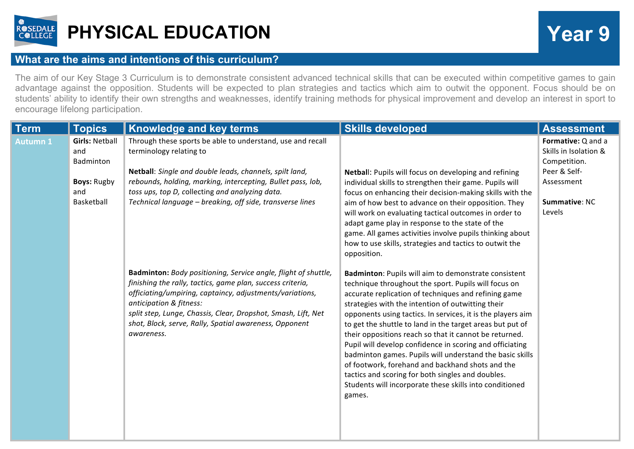

## **PHYSICAL EDUCATION Year 9**

## **What are the aims and intentions of this curriculum?**

The aim of our Key Stage 3 Curriculum is to demonstrate consistent advanced technical skills that can be executed within competitive games to gain advantage against the opposition. Students will be expected to plan strategies and tactics which aim to outwit the opponent. Focus should be on students' ability to identify their own strengths and weaknesses, identify training methods for physical improvement and develop an interest in sport to encourage lifelong participation.

| <b>Term</b>     | <b>Topics</b>                                                                        | Knowledge and key terms                                                                                                                                                                                                                                                                                                                                      | <b>Skills developed</b>                                                                                                                                                                                                                                                                                                                                                                                                                                                                                                                                                                                                                                                                                               | <b>Assessment</b>                                                                                                    |
|-----------------|--------------------------------------------------------------------------------------|--------------------------------------------------------------------------------------------------------------------------------------------------------------------------------------------------------------------------------------------------------------------------------------------------------------------------------------------------------------|-----------------------------------------------------------------------------------------------------------------------------------------------------------------------------------------------------------------------------------------------------------------------------------------------------------------------------------------------------------------------------------------------------------------------------------------------------------------------------------------------------------------------------------------------------------------------------------------------------------------------------------------------------------------------------------------------------------------------|----------------------------------------------------------------------------------------------------------------------|
| <b>Autumn 1</b> | <b>Girls: Netball</b><br>and<br>Badminton<br><b>Boys: Rugby</b><br>and<br>Basketball | Through these sports be able to understand, use and recall<br>terminology relating to<br>Netball: Single and double leads, channels, spilt land,<br>rebounds, holding, marking, intercepting, Bullet pass, lob,<br>toss ups, top D, collecting and analyzing data.<br>Technical language - breaking, off side, transverse lines                              | Netball: Pupils will focus on developing and refining<br>individual skills to strengthen their game. Pupils will<br>focus on enhancing their decision-making skills with the<br>aim of how best to advance on their opposition. They<br>will work on evaluating tactical outcomes in order to<br>adapt game play in response to the state of the<br>game. All games activities involve pupils thinking about<br>how to use skills, strategies and tactics to outwit the<br>opposition.                                                                                                                                                                                                                                | Formative: Q and a<br>Skills in Isolation &<br>Competition.<br>Peer & Self-<br>Assessment<br>Summative: NC<br>Levels |
|                 |                                                                                      | Badminton: Body positioning, Service angle, flight of shuttle,<br>finishing the rally, tactics, game plan, success criteria,<br>officiating/umpiring, captaincy, adjustments/variations,<br>anticipation & fitness:<br>split step, Lunge, Chassis, Clear, Dropshot, Smash, Lift, Net<br>shot, Block, serve, Rally, Spatial awareness, Opponent<br>awareness. | Badminton: Pupils will aim to demonstrate consistent<br>technique throughout the sport. Pupils will focus on<br>accurate replication of techniques and refining game<br>strategies with the intention of outwitting their<br>opponents using tactics. In services, it is the players aim<br>to get the shuttle to land in the target areas but put of<br>their oppositions reach so that it cannot be returned.<br>Pupil will develop confidence in scoring and officiating<br>badminton games. Pupils will understand the basic skills<br>of footwork, forehand and backhand shots and the<br>tactics and scoring for both singles and doubles.<br>Students will incorporate these skills into conditioned<br>games. |                                                                                                                      |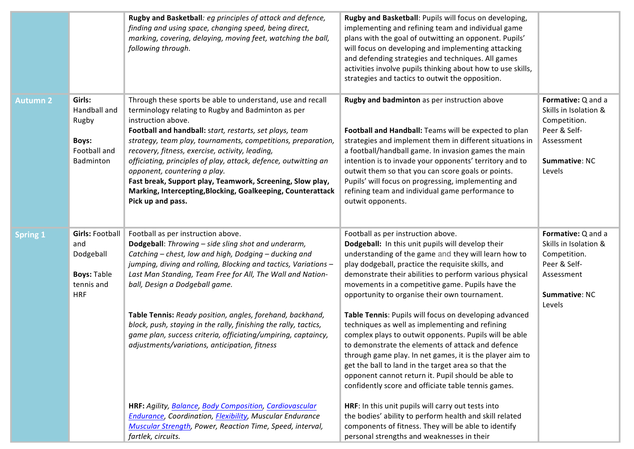|                 |                                                                                              | Rugby and Basketball: eg principles of attack and defence,<br>finding and using space, changing speed, being direct,<br>marking, covering, delaying, moving feet, watching the ball,<br>following through.                                                                                                                                                                                                                                                                                                                                                               | Rugby and Basketball: Pupils will focus on developing,<br>implementing and refining team and individual game<br>plans with the goal of outwitting an opponent. Pupils'<br>will focus on developing and implementing attacking<br>and defending strategies and techniques. All games<br>activities involve pupils thinking about how to use skills,<br>strategies and tactics to outwit the opposition.                                                                                                                                       |                                                                                                                             |
|-----------------|----------------------------------------------------------------------------------------------|--------------------------------------------------------------------------------------------------------------------------------------------------------------------------------------------------------------------------------------------------------------------------------------------------------------------------------------------------------------------------------------------------------------------------------------------------------------------------------------------------------------------------------------------------------------------------|----------------------------------------------------------------------------------------------------------------------------------------------------------------------------------------------------------------------------------------------------------------------------------------------------------------------------------------------------------------------------------------------------------------------------------------------------------------------------------------------------------------------------------------------|-----------------------------------------------------------------------------------------------------------------------------|
| <b>Autumn 2</b> | Girls:<br>Handball and<br>Rugby<br>Boys:<br>Football and<br>Badminton                        | Through these sports be able to understand, use and recall<br>terminology relating to Rugby and Badminton as per<br>instruction above.<br>Football and handball: start, restarts, set plays, team<br>strategy, team play, tournaments, competitions, preparation,<br>recovery, fitness, exercise, activity, leading,<br>officiating, principles of play, attack, defence, outwitting an<br>opponent, countering a play.<br>Fast break, Support play, Teamwork, Screening, Slow play,<br>Marking, Intercepting, Blocking, Goalkeeping, Counterattack<br>Pick up and pass. | Rugby and badminton as per instruction above<br>Football and Handball: Teams will be expected to plan<br>strategies and implement them in different situations in<br>a football/handball game. In invasion games the main<br>intention is to invade your opponents' territory and to<br>outwit them so that you can score goals or points.<br>Pupils' will focus on progressing, implementing and<br>refining team and individual game performance to<br>outwit opponents.                                                                   | Formative: Q and a<br>Skills in Isolation &<br>Competition.<br>Peer & Self-<br>Assessment<br>Summative: NC<br>Levels        |
| <b>Spring 1</b> | <b>Girls: Football</b><br>and<br>Dodgeball<br><b>Boys: Table</b><br>tennis and<br><b>HRF</b> | Football as per instruction above.<br>Dodgeball: Throwing - side sling shot and underarm,<br>Catching - chest, low and high, Dodging - ducking and<br>jumping, diving and rolling, Blocking and tactics, Variations -<br>Last Man Standing, Team Free for All, The Wall and Nation-<br>ball, Design a Dodgeball game.<br>Table Tennis: Ready position, angles, forehand, backhand,<br>block, push, staying in the rally, finishing the rally, tactics,<br>game plan, success criteria, officiating/umpiring, captaincy,                                                  | Football as per instruction above.<br>Dodgeball: In this unit pupils will develop their<br>understanding of the game and they will learn how to<br>play dodgeball, practice the requisite skills, and<br>demonstrate their abilities to perform various physical<br>movements in a competitive game. Pupils have the<br>opportunity to organise their own tournament.<br>Table Tennis: Pupils will focus on developing advanced<br>techniques as well as implementing and refining<br>complex plays to outwit opponents. Pupils will be able | Formative: Q and a<br>Skills in Isolation &<br>Competition.<br>Peer & Self-<br>Assessment<br><b>Summative: NC</b><br>Levels |
|                 |                                                                                              | adjustments/variations, anticipation, fitness<br>HRF: Agility, Balance, Body Composition, Cardiovascular<br>Endurance, Coordination, Flexibility, Muscular Endurance<br>Muscular Strength, Power, Reaction Time, Speed, interval,<br>fartlek, circuits.                                                                                                                                                                                                                                                                                                                  | to demonstrate the elements of attack and defence<br>through game play. In net games, it is the player aim to<br>get the ball to land in the target area so that the<br>opponent cannot return it. Pupil should be able to<br>confidently score and officiate table tennis games.<br>HRF: In this unit pupils will carry out tests into<br>the bodies' ability to perform health and skill related<br>components of fitness. They will be able to identify<br>personal strengths and weaknesses in their                                     |                                                                                                                             |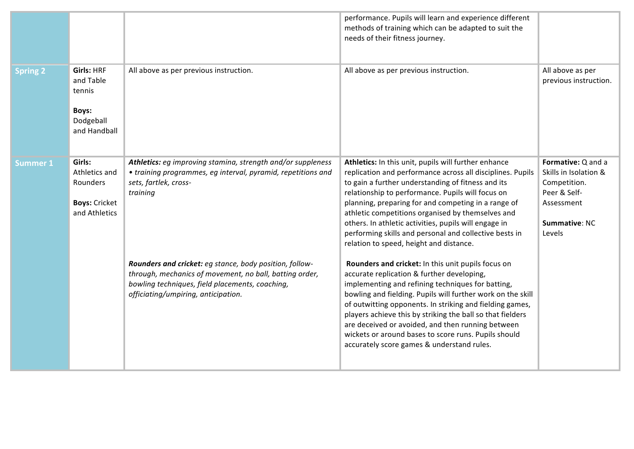|                 |                                                                                       |                                                                                                                                                                                                              | performance. Pupils will learn and experience different<br>methods of training which can be adapted to suit the<br>needs of their fitness journey.                                                                                                                                                                                                                                                                                                                                                        |                                                                                                                      |
|-----------------|---------------------------------------------------------------------------------------|--------------------------------------------------------------------------------------------------------------------------------------------------------------------------------------------------------------|-----------------------------------------------------------------------------------------------------------------------------------------------------------------------------------------------------------------------------------------------------------------------------------------------------------------------------------------------------------------------------------------------------------------------------------------------------------------------------------------------------------|----------------------------------------------------------------------------------------------------------------------|
| <b>Spring 2</b> | <b>Girls: HRF</b><br>and Table<br>tennis<br><b>Boys:</b><br>Dodgeball<br>and Handball | All above as per previous instruction.                                                                                                                                                                       | All above as per previous instruction.                                                                                                                                                                                                                                                                                                                                                                                                                                                                    | All above as per<br>previous instruction.                                                                            |
| <b>Summer 1</b> | Girls:<br>Athletics and<br>Rounders<br><b>Boys: Cricket</b><br>and Athletics          | Athletics: eg improving stamina, strength and/or suppleness<br>• training programmes, eg interval, pyramid, repetitions and<br>sets, fartlek, cross-<br>training                                             | Athletics: In this unit, pupils will further enhance<br>replication and performance across all disciplines. Pupils<br>to gain a further understanding of fitness and its<br>relationship to performance. Pupils will focus on<br>planning, preparing for and competing in a range of<br>athletic competitions organised by themselves and<br>others. In athletic activities, pupils will engage in<br>performing skills and personal and collective bests in<br>relation to speed, height and distance.   | Formative: Q and a<br>Skills in Isolation &<br>Competition.<br>Peer & Self-<br>Assessment<br>Summative: NC<br>Levels |
|                 |                                                                                       | Rounders and cricket: eg stance, body position, follow-<br>through, mechanics of movement, no ball, batting order,<br>bowling techniques, field placements, coaching,<br>officiating/umpiring, anticipation. | Rounders and cricket: In this unit pupils focus on<br>accurate replication & further developing,<br>implementing and refining techniques for batting,<br>bowling and fielding. Pupils will further work on the skill<br>of outwitting opponents. In striking and fielding games,<br>players achieve this by striking the ball so that fielders<br>are deceived or avoided, and then running between<br>wickets or around bases to score runs. Pupils should<br>accurately score games & understand rules. |                                                                                                                      |